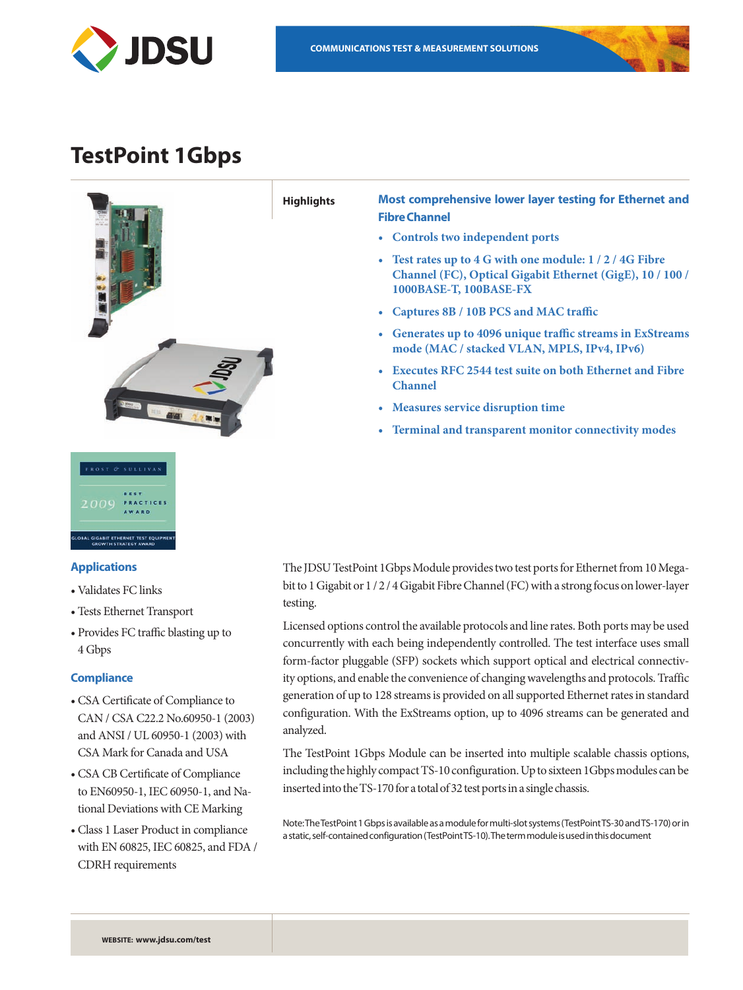

# **TestPoint 1Gbps**



# **Applications**

- • Validates FC links
- • Tests Ethernet Transport
- • Provides FC traffic blasting up to 4 Gbps

# **Compliance**

- • CSA Certificate of Compliance to CAN / CSA C22.2 No.60950-1 (2003) and ANSI / UL 60950-1 (2003) with CSA Mark for Canada and USA
- • CSA CB Certificate of Compliance to EN60950-1, IEC 60950-1, and National Deviations with CE Marking
- • Class 1 Laser Product in compliance with EN 60825, IEC 60825, and FDA / CDRH requirements

The JDSU TestPoint 1Gbps Module provides two test ports for Ethernet from 10 Megabit to 1 Gigabit or 1 / 2 / 4 Gigabit Fibre Channel (FC) with a strong focus on lower-layer testing.

Licensed options control the available protocols and line rates. Both ports may be used concurrently with each being independently controlled. The test interface uses small form-factor pluggable (SFP) sockets which support optical and electrical connectivity options, and enable the convenience of changing wavelengths and protocols. Traffic generation of up to 128 streams is provided on all supported Ethernet rates in standard configuration. With the ExStreams option, up to 4096 streams can be generated and analyzed.

The TestPoint 1Gbps Module can be inserted into multiple scalable chassis options, including the highly compact TS-10 configuration. Up to sixteen 1Gbps modules can be inserted into the TS-170 for a total of 32 test ports in a single chassis.

Note: The TestPoint 1 Gbps is available as a module for multi-slot systems (TestPoint TS-30 and TS-170) or in a static, self-contained configuration (TestPoint TS-10). The term module is used in this document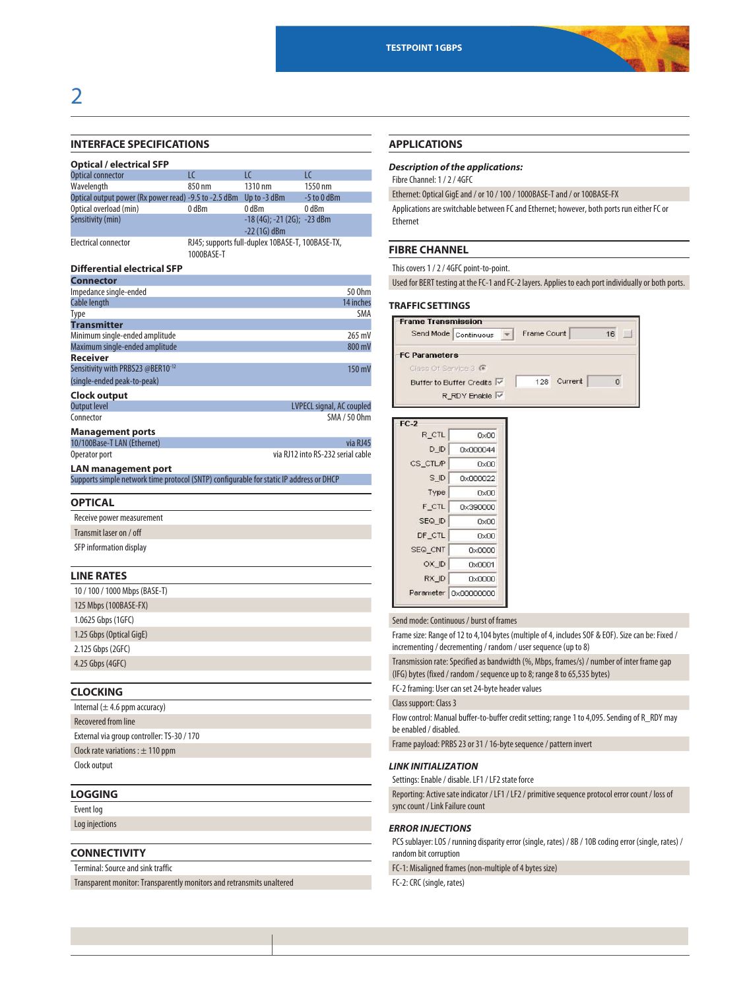

# 2

# **INTERFACE SPECIFICATIONS**

Terminal: Source and sink traffic

Transparent monitor: Transparently monitors and retransmits unaltered

| <b>Optical / electrical SFP</b>                                                              |            |                                                  |                                               |
|----------------------------------------------------------------------------------------------|------------|--------------------------------------------------|-----------------------------------------------|
| <b>Optical connector</b>                                                                     | LC         | LC                                               | LC                                            |
| Wavelength                                                                                   | 850 nm     | 1310 nm                                          | 1550 nm                                       |
| Optical output power (Rx power read) -9.5 to -2.5 dBm Up to -3 dBm<br>Optical overload (min) | 0 dBm      | 0 dBm                                            | -5 to 0 dBm<br>0 dBm                          |
| Sensitivity (min)                                                                            |            | $-18(4G)$ ; $-21(2G)$ ; $-23dBm$                 |                                               |
|                                                                                              |            | $-22(1G)$ dBm                                    |                                               |
| <b>Electrical connector</b>                                                                  |            | RJ45; supports full-duplex 10BASE-T, 100BASE-TX, |                                               |
|                                                                                              | 1000BASE-T |                                                  |                                               |
| <b>Differential electrical SFP</b>                                                           |            |                                                  |                                               |
| <b>Connector</b>                                                                             |            |                                                  |                                               |
| Impedance single-ended                                                                       |            |                                                  | 50 Ohm                                        |
| Cable length                                                                                 |            |                                                  | 14 inches                                     |
| Type<br><b>Transmitter</b>                                                                   |            |                                                  | SMA                                           |
| Minimum single-ended amplitude                                                               |            |                                                  | 265 mV                                        |
| Maximum single-ended amplitude                                                               |            |                                                  | 800 mV                                        |
| <b>Receiver</b>                                                                              |            |                                                  |                                               |
| Sensitivity with PRBS23 @BER10-12                                                            |            |                                                  | 150 mV                                        |
| (single-ended peak-to-peak)                                                                  |            |                                                  |                                               |
| Clock output                                                                                 |            |                                                  |                                               |
| <b>Output level</b>                                                                          |            |                                                  | <b>LVPECL signal, AC coupled</b>              |
| Connector                                                                                    |            |                                                  | SMA / 50 0hm                                  |
| <b>Management ports</b>                                                                      |            |                                                  |                                               |
| 10/100Base-T LAN (Ethernet)                                                                  |            |                                                  | via RJ45<br>via RJ12 into RS-232 serial cable |
| Operator port                                                                                |            |                                                  |                                               |
| <b>LAN management port</b>                                                                   |            |                                                  |                                               |
| Supports simple network time protocol (SNTP) configurable for static IP address or DHCP      |            |                                                  |                                               |
| <b>OPTICAL</b>                                                                               |            |                                                  |                                               |
| Receive power measurement                                                                    |            |                                                  |                                               |
| Transmit laser on / off                                                                      |            |                                                  |                                               |
|                                                                                              |            |                                                  |                                               |
| SFP information display                                                                      |            |                                                  |                                               |
| <b>LINE RATES</b>                                                                            |            |                                                  |                                               |
|                                                                                              |            |                                                  |                                               |
| 10/100/1000 Mbps (BASE-T)                                                                    |            |                                                  |                                               |
| 125 Mbps (100BASE-FX)                                                                        |            |                                                  |                                               |
| 1.0625 Gbps (1GFC)                                                                           |            |                                                  |                                               |
| 1.25 Gbps (Optical GigE)                                                                     |            |                                                  |                                               |
| 2.125 Gbps (2GFC)                                                                            |            |                                                  |                                               |
| 4.25 Gbps (4GFC)                                                                             |            |                                                  |                                               |
|                                                                                              |            |                                                  |                                               |
| <b>CLOCKING</b>                                                                              |            |                                                  |                                               |
| Internal $(\pm 4.6$ ppm accuracy)                                                            |            |                                                  |                                               |
| <b>Recovered from line</b>                                                                   |            |                                                  |                                               |
|                                                                                              |            |                                                  |                                               |
| External via group controller: TS-30 / 170                                                   |            |                                                  |                                               |
| Clock rate variations : $\pm$ 110 ppm                                                        |            |                                                  |                                               |
| Clock output                                                                                 |            |                                                  |                                               |
|                                                                                              |            |                                                  |                                               |
| <b>LOGGING</b>                                                                               |            |                                                  |                                               |
| Event log                                                                                    |            |                                                  |                                               |
| Log injections                                                                               |            |                                                  |                                               |
|                                                                                              |            |                                                  |                                               |
| <b>CONNECTIVITY</b>                                                                          |            |                                                  |                                               |

# **APPLICATIONS**

# *Description of the applications:*

Fibre Channel: 1 / 2 / 4GFC

Ethernet: Optical GigE and / or 10 / 100 / 1000BASE-T and / or 100BASE-FX

Applications are switchable between FC and Ethernet; however, both ports run either FC or Ethernet

# **FIBRE CHANNEL**

This covers 1 / 2 / 4GFC point-to-point.

Used for BERT testing at the FC-1 and FC-2 layers. Applies to each port individually or both ports.

## **TRAFFIC SETTINGS**

| <b>Frame Transmission</b> |             |         |    |
|---------------------------|-------------|---------|----|
| Send Mode Continuous      | Frame Count |         | 16 |
| <b>FC Parameters</b>      |             |         |    |
| Class Of Service 3 G      |             |         |    |
| Buffer to Buffer Credits  | 128         | Current |    |
| R RDY Enable              |             |         |    |

| $FC-2$         |                        |
|----------------|------------------------|
| R CTL          | 0x00                   |
| D <sub>D</sub> | 0x000044               |
| CS CTLP        | $0 \times 00$          |
| S ID           | 0x000022               |
| Type           | 0x00                   |
| F CTL          | 0x390000               |
| SEQ ID         | 0x00                   |
| DF CTL         | 0x00                   |
| SEQ CNT        | 0x0000                 |
| OX ID          | 0x0001                 |
| RX ID          | 0x0000                 |
|                | Parameter   0x00000000 |

Send mode: Continuous / burst of frames

Frame size: Range of 12 to 4,104 bytes (multiple of 4, includes SOF & EOF). Size can be: Fixed / incrementing / decrementing / random / user sequence (up to 8)

Transmission rate: Specified as bandwidth (%, Mbps, frames/s) / number of inter frame gap (IFG) bytes (fixed / random / sequence up to 8; range 8 to 65,535 bytes)

FC-2 framing: User can set 24-byte header values

Class support: Class 3

Flow control: Manual buffer-to-buffer credit setting; range 1 to 4,095. Sending of R\_RDY may be enabled / disabled.

Frame payload: PRBS 23 or 31 / 16-byte sequence / pattern invert

## *LINK INITIALIZATION*

Settings: Enable / disable. LF1 / LF2 state force

Reporting: Active sate indicator / LF1 / LF2 / primitive sequence protocol error count / loss of sync count / Link Failure count

# *ERROR INJECTIONS*

PCS sublayer: LOS / running disparity error (single, rates) / 8B / 10B coding error (single, rates) / random bit corruption

FC-1: Misaligned frames (non-multiple of 4 bytes size)

FC-2: CRC (single, rates)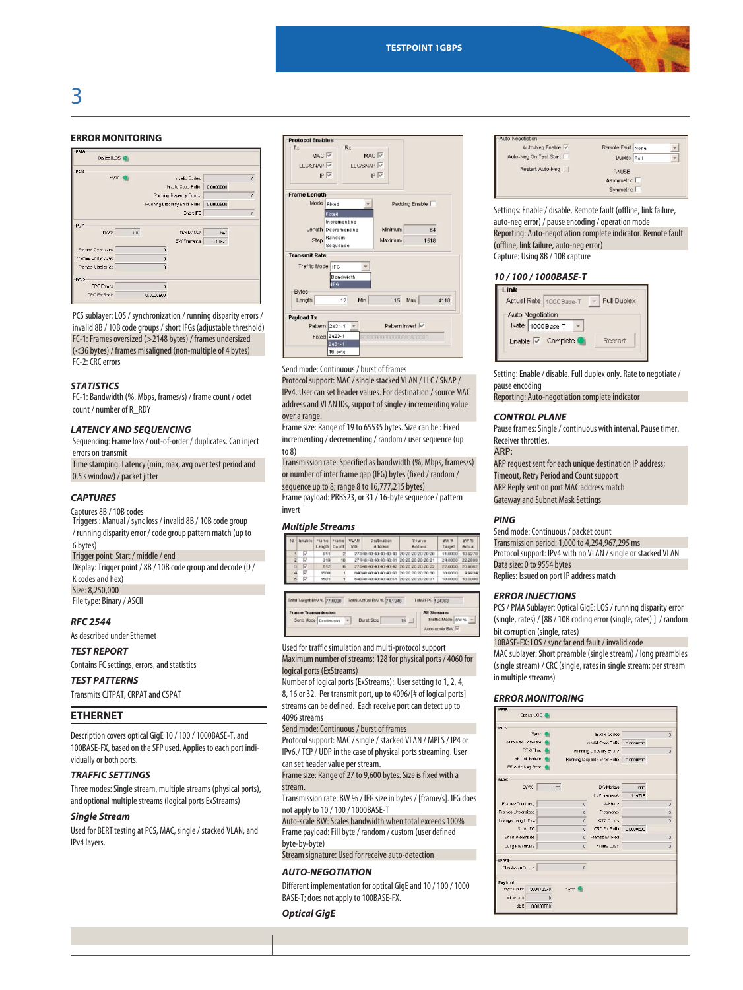



# **ERROR MONITORING**

| PMA                      |     |              |                               |           |              |
|--------------------------|-----|--------------|-------------------------------|-----------|--------------|
| Optical LOS <sup>6</sup> |     |              |                               |           |              |
| PCS                      |     |              |                               |           |              |
| Sync.                    |     |              | <b>Invalid Codes</b>          |           | $\mathbf{a}$ |
|                          |     |              | Invalid Code Ratio            | 0.0000E00 |              |
|                          |     |              | Rurning Disparity Errors      |           | ň            |
|                          |     |              | Running Disperity Error Ratio | 0.0003E00 |              |
|                          |     |              | 3hot IFG                      |           | $\mathbf{0}$ |
| FC-1                     |     |              |                               |           |              |
| BW%                      | 100 |              | <b>BIV Mallsys</b>            | 54'       |              |
|                          |     |              | BW Framesis                   | 43871     |              |
| Frames Cversized         |     | $\theta$     |                               |           |              |
| Frames Urdersized        |     | $\theta$     |                               |           |              |
| Frames Misalianed        |     | $\mathbf{0}$ |                               |           |              |
| $FC-2$                   |     |              |                               |           |              |
| <b>CRC</b> Errors        |     | $\theta$     |                               |           |              |
| CRC Enr Ratio            |     | 0.3000E00    |                               |           |              |

PCS sublayer: LOS / synchronization / running disparity errors / invalid 8B / 10B code groups / short IFGs (adjustable threshold) FC-1: Frames oversized (>2148 bytes) / frames undersized (<36 bytes) / frames misaligned (non-multiple of 4 bytes) FC-2: CRC errors

#### *STATISTICS*

FC-1: Bandwidth (%, Mbps, frames/s) / frame count / octet count / number of R\_RDY

#### *LATENCY AND SEQUENCING*

Sequencing: Frame loss / out-of-order / duplicates. Can inject errors on transmit

Time stamping: Latency (min, max, avg over test period and 0.5 s window) / packet jitter

#### *CAPTURES*

#### Captures 8B / 10B codes Triggers : Manual / sync loss / invalid 8B / 10B code group

/ running disparity error / code group pattern match (up to 6bytes)

# Trigger point: Start / middle / end

Display: Trigger point / 8B / 10B code group and decode (D / K codes and hex)

Size: 8,250,000

File type: Binary / ASCII

## *RFC 2544*

As described under Ethernet

## *TEST REPORT*

Contains FC settings, errors, and statistics

# *TEST PATTERNS*

Transmits CJTPAT, CRPAT and CSPAT

# **ETHERNET**

Description covers optical GigE 10 / 100 / 1000BASE-T, and 100BASE-FX, based on the SFP used. Applies to each port individually or both ports.

#### *TRAFFIC SETTINGS*

Three modes: Single stream, multiple streams (physical ports), and optional multiple streams (logical ports ExStreams)

#### *Single Stream*

Used for BERT testing at PCS, MAC, single / stacked VLAN, and IPv4 layers.



Send mode: Continuous / burst of frames Protocol support: MAC / single stacked VLAN / LLC / SNAP / IPv4. User can set header values. For destination / source MAC address and VLAN IDs, support of single / incrementing value over a range.

#### Frame size: Range of 19 to 65535 bytes. Size can be : Fixed incrementing / decrementing / random / user sequence (up to 8)

Transmission rate: Specified as bandwidth (%, Mbps, frames/s) or number of inter frame gap (IFG) bytes (fixed / random / sequence up to 8; range 8 to 16,777,215 bytes) Frame payload: PRBS23, or 31 / 16-byte sequence / pattern

invert

#### *Multiple Streams*

| Тd | Enable | Frame<br>Length | Frame<br>Courd | <b>VLAN</b><br>VID. | Destination<br><b>Biddress</b>         | Source<br><b>Address</b> | <b>BW %</b><br>Target | BW %<br>Actual |
|----|--------|-----------------|----------------|---------------------|----------------------------------------|--------------------------|-----------------------|----------------|
|    |        | 011             |                |                     | 401401                                 | 20:20:20:20:20:20        | 11.0000               | 10.9270        |
|    | ⊽      | 319             | 10             |                     | 27490:90:90:90:90:91                   | 20:20:20:20:20:21        | 24,0000               | 22,2880        |
|    | ◡      | 552             | $\mathbf{r}$   |                     | 27540-40-40-40-40-42                   | 20:20:20:20:20:22        | 22.0000               | 20.9982        |
|    | ⋼      | 1500            |                |                     | 64040-40-40-40-40-50 20:20:20:20:20:30 |                          | 10,0000               | 0.0934         |
|    | ☞      | 15011           |                |                     | natian an an an an 6+                  | 202020202031             | 10,0000               | 10,0000        |

| Total Target BW % 77.0000 |  | Total Actual BIV % 74.1946 |    |  | Total FPS 164363                     |  |
|---------------------------|--|----------------------------|----|--|--------------------------------------|--|
| Frame Transmission        |  |                            |    |  | <b>All Streams</b>                   |  |
| Send Mode Continuous      |  | <b>Durst Size</b>          | 16 |  | Traffic Mode   mw %<br>Auto-scale BW |  |

Used for traffic simulation and multi-protocol support Maximum number of streams: 128 for physical ports / 4060 for logical ports (ExStreams)

Number of logical ports (ExStreams): User setting to 1, 2, 4, 8, 16 or 32. Per transmit port, up to 4096/[# of logical ports] streams can be defined. Each receive port can detect up to 4096 streams

Send mode: Continuous / burst of frames

Protocol support: MAC / single / stacked VLAN / MPLS / IP4 or IPv6./ TCP / UDP in the case of physical ports streaming. User can set header value per stream.

Frame size: Range of 27 to 9,600 bytes. Size is fixed with a stream.

Transmission rate: BW % / IFG size in bytes / [frame/s]. IFG does not apply to 10 / 100 / 1000BASE-T

Auto-scale BW: Scales bandwidth when total exceeds 100% Frame payload: Fill byte / random / custom (user defined

# byte-by-byte)

Stream signature: Used for receive auto-detection

#### *AUTO-NEGOTIATION*

Different implementation for optical GigE and 10 / 100 / 1000 BASE-T; does not apply to 100BASE-FX.

#### *Optical GigE*

Settings: Enable / disable. Remote fault (offline, link failure, auto-neg error) / pause encoding / operation mode Reporting: Auto-negotiation complete indicator. Remote fault (offline, link failure, auto-neg error) Capture: Using 8B / 10B capture

#### *10 / 100 / 1000BASE-T*

|                  | Actual Rate   1000Base-T          | Full Duplex |
|------------------|-----------------------------------|-------------|
| Auto Negotiation |                                   |             |
|                  | Rate 1000Base-T                   |             |
|                  | Enable $\overline{\vee}$ Complete | Restart     |

Setting: Enable / disable. Full duplex only. Rate to negotiate / pause encoding

Reporting: Auto-negotiation complete indicator

#### *CONTROL PLANE*

Pause frames: Single / continuous with interval. Pause timer. Receiver throttles.

ARP:

ARP request sent for each unique destination IP address; Timeout, Retry Period and Count support ARP Reply sent on port MAC address match Gateway and Subnet Mask Settings

#### *PING*

Send mode: Continuous / packet count Transmission period: 1,000 to 4,294,967,295 ms Protocol support: IPv4 with no VLAN / single or stacked VLAN Data size: 0 to 9554 bytes Replies: Issued on port IP address match

#### *ERROR INJECTIONS*

PCS / PMA Sublayer: Optical GigE: LOS / running disparity error (single, rates) / [8B / 10B coding error (single, rates) ] / random bit corruption (single, rates)

10BASE-FX: LOS / sync far end fault / invalid code

MAC sublayer: Short preamble (single stream) / long preambles (single stream) / CRC (single, rates in single stream; per stream in multiple streams)

## *ERROR MONITORING*

| PCS                   |           |                     |                               |           |                |
|-----------------------|-----------|---------------------|-------------------------------|-----------|----------------|
| Sync                  |           |                     | <b>Invalid Codes</b>          |           | 3              |
| Auto Neg Complete     |           | Involid Code Rotio  |                               | 0.000000  |                |
| R" Offline            |           |                     | Running Disparity Errors      |           | J.             |
| <b>Rt Link Falure</b> |           |                     | Running Disparity Error Ratio | 0.000E10  |                |
| RF Auto Neg From      |           |                     |                               |           |                |
| MAC                   |           |                     |                               |           |                |
| D/V%                  | 100       |                     | D/v Mailsas                   | 000.      |                |
|                       |           |                     | <b>B/VFrames/s</b>            | 119715    |                |
| Frames Ton Long       |           | c                   | Jabhers                       |           | Þ              |
| Framce Undersized     |           | C.                  | Fregmants                     |           | $\overline{1}$ |
| Irrange Length Errs   |           | c                   | CRC Friums                    |           | $\overline{1}$ |
| Short IFG             |           | r                   | <b>CRC</b> Err Ratio          | 0.0000ED0 |                |
| Short Preambles       |           | r                   | Frames Errored                |           | $\overline{ }$ |
| Long Preambles        |           | Ü.                  | Frame Loss                    |           | J              |
| <b>IP V4</b>          |           |                     |                               |           |                |
| Checksum Errors       |           | c                   |                               |           |                |
| Paylond               |           |                     |                               |           |                |
| Byto Count            | 300072570 | Syno <sup>(B)</sup> |                               |           |                |
| <b>Bi</b> Errurs      | $\theta$  |                     |                               |           |                |

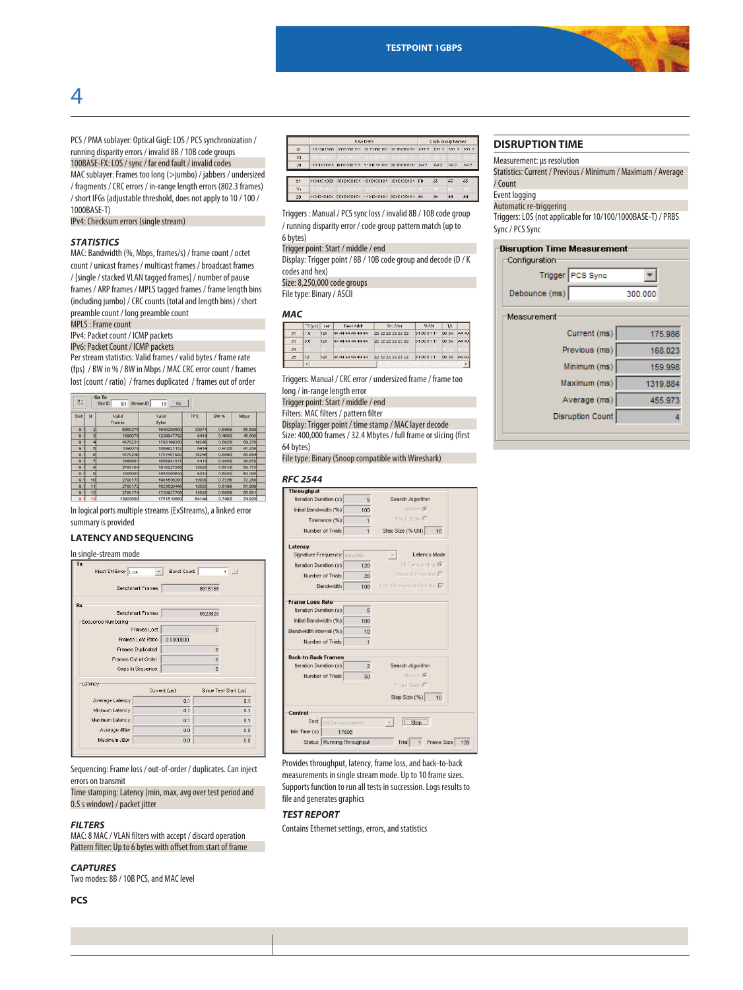

PCS / PMA sublayer: Optical GigE: LOS / PCS synchronization / running disparity errors / invalid 8B / 10B code groups 100BASE-FX: LOS / sync / far end fault / invalid codes MAC sublayer: Frames too long (>jumbo) / jabbers / undersized / fragments / CRC errors / in-range length errors (802.3 frames) / short IFGs (adjustable threshold, does not apply to 10 / 100 / 1000BASE-T)

IPv4: Checksum errors (single stream)

#### *STATISTICS*

4

MAC: Bandwidth (%, Mbps, frames/s) / frame count / octet count / unicast frames / multicast frames / broadcast frames / [single / stacked VLAN tagged frames] / number of pause frames / ARP frames / MPLS tagged frames / frame length bins (including jumbo) / CRC counts (total and length bins) / short preamble count / long preamble count

MPLS : Frame count

IPv4: Packet count / ICMP packets

IPv6: Packet Count / ICMP packets

Per stream statistics: Valid frames / valid bytes / frame rate (fps) / BW in % / BW in Mbps / MAC CRC error count / frames lost (count / ratio) / frames duplicated / frames out of order

| 胜    | Go To | Sixt ID<br>Stream <sub>ID</sub><br>9.1 | Go<br>13              |       |             |        |
|------|-------|----------------------------------------|-----------------------|-------|-------------|--------|
| Slet | 1d    | Valid<br>Frames                        | Valid<br><b>Dytes</b> | FPS   | <b>BW %</b> | Mbps   |
| 9.1  |       | 6050375                                | 1640288500            | 32074 | 0.6559      | 65,699 |
| 9.1  |       | 1390076                                | 1230047702            | 6414  | 0.4690      | 46.800 |
| 9.1  |       | 4170231                                | 1703100330            | 19243 | 0.6929      | 69.276 |
| 9.1  | в     | 1390078                                | 1099821152            | 6414  | 0.4126      | 41.250 |
| 9.1  | ø     | 4170240                                | 1701457020            | 10244 | 0.6590      | 65.894 |
| Q, 1 | y     | 1390081                                | 1052291317            | 6414  | 0.3900      | 39.872 |
| 9.1  | 8     | 2780164                                | 1818227255            | 12828 | 0.6918      | 09.173 |
| 9.1  | ø     | 1300083                                | 1052000630            | 6414  | 0.0943      | 69,430 |
| 9.1  | 10    | 2780170                                | 1901636280            | 12829 | 0.7226      | 72.258 |
| 9.1  | 11    | 2780172                                | 1623620448            | 12828 | 0.6100      | 61.989 |
| 9.1  | 12    | 2780174                                | 1720927706            | 12828 | 0.0559      | 05.581 |
| 9.1  | 13    | 13900880                               | 1751510880            | 64144 | 0.7493      | 74,920 |

In logical ports multiple streams (ExStreams), a linked error summary is provided

#### **LATENCY AND SEQUENCING**

In single-stream mode Inject SN Error Lost Extra Burst Count  $\overline{1}$   $\Box$ Benchmark Frames 8915158 Rx Benchmark Frames 8923825 Secuence Numbering Frames Lost Frames Lost Ratio  $\boxed{0.0000E00}$ Frames Duplicated Frames Out of Order Gaps In Sequence Latency Current  $(\mu s)$ Since Test Start (Js) Average Latency  $0.1$  $0.1$ Minimum Latency  $0.1$  $0.1$ Maximum Latency  $0.1$  $0.1$ Average Jitte  $0.0\,$  $0.0$ Maximum Jitter  $0.0\,$  $0.0\,$ 

Sequencing: Frame loss / out-of-order / duplicates. Can inject errors on transmit

Time stamping: Latency (min, max, avg over test period and 0.5 s window) / packet jitter

#### *FILTERS*

MAC: 8 MAC / VLAN filters with accept / discard operation Pattern filter: Up to 6 bytes with offset from start of frame

#### *CAPTURES*

Two modes: 8B / 10B PCS, and MAC level

#### **PCS**



Triggers : Manual / PCS sync loss / invalid 8B / 10B code group / running disparity error / code group pattern match (up to 6bytes)

Trigger point: Start / middle / end

Display: Trigger point / 8B / 10B code group and decode (D / K codes and hex)

#### Size: 8,250,000 code groups

File type: Binary / ASCII

#### *MAC*

|    | $\overline{\phantom{a}}$ S(µ $\varepsilon$ ) | Lan | Dect Addr         | Src Ador                          | <b>YLAN</b>                                                     | T/L   |                                         |
|----|----------------------------------------------|-----|-------------------|-----------------------------------|-----------------------------------------------------------------|-------|-----------------------------------------|
| 22 | $-4.5$                                       | 128 | ac aa aa aa aa aa | 22, 22, 22, 22, 22, 22            | 8100011                                                         | 00 34 | $\triangle$ $\triangle$ $\triangle$ $z$ |
| 20 | $-0.6$                                       | 120 | 44 44 44 44 44    | 22 22 22 22 22 22                 | 0100011'                                                        | 00 BA | <b>AAAA</b>                             |
| 24 |                                              |     |                   | 이 동네가 오르시 사람들이                    | 1100011                                                         |       |                                         |
| 25 | 1.2                                          | 128 | 44444444          | 22 22 22 22 22 22                 | 8100011                                                         | 00.56 | AA As                                   |
|    | <b>PAT</b>                                   |     |                   | and the company of the company of | the contract of the contract of the contract of the contract of |       |                                         |

Triggers: Manual / CRC error / undersized frame / frame too

long / in-range length error

Trigger point: Start / middle / end

Filters: MAC filters / pattern filter

Display: Trigger point / time stamp / MAC layer decode Size: 400,000 frames / 32.4 Mbytes / full frame or slicing (first 64 bytes)

File type: Binary (Snoop compatible with Wireshark)

# *RFC 2544*

| <b>Throughput</b>                  |                |                                       |
|------------------------------------|----------------|---------------------------------------|
| Iteration Duration (s)             | 5              | Search Algorithm                      |
| Initial Bandwidth (%)              | 100            | Binary G                              |
| Tolerance (%)                      | $\mathbf{1}$   | Fixed Step C                          |
| Number of Trials                   | $\overline{1}$ | Step Size (% Util)<br>10 <sub>1</sub> |
| Latency                            |                |                                       |
| Signature Frequency <b>One/Min</b> |                | Latency Mode                          |
| Iteration Duration (s)             | 120            | <b>Bit Forwarding G</b>               |
| Number of Trials                   | $20 -$         | Store & Eonward C                     |
| <b>Bandwidth</b>                   | 100            | Use Throughout Results                |
| Frame Loss Rate                    |                |                                       |
| Iteration Duration (s)             | 5              |                                       |
| Initial Bandwidth (%)              | 100            |                                       |
| Bandwidth Interval (%)             | 10             |                                       |
| Number of Trials                   | $\overline{1}$ |                                       |
| <b>Back-to-Back Frames</b>         |                |                                       |
| Iteration Duration (s)             | $\overline{2}$ | Search Algorithm                      |
| Number of Trials                   | 50             | Binary G                              |
|                                    |                | Fixed Step C                          |
|                                    |                | Step Size (%)<br>10                   |
| Control                            |                |                                       |
| Test<br>All (in succession)        |                | Stop                                  |
| Min Time (s)                       | 17605          |                                       |
| Status Running Throughput          |                | Frame Size<br>Trial<br>$\mathbf{1}$   |

Provides throughput, latency, frame loss, and back-to-back measurements in single stream mode. Up to 10 frame sizes. Supports function to run all tests in succession. Logs results to file and generates graphics

#### *TEST REPORT*

Contains Ethernet settings, errors, and statistics

# **DISRUPTION TIME**

Measurement: µs resolution Statistics: Current / Previous / Minimum / Maximum / Average

/ Count

Event logging

Automatic re-triggering

Triggers: LOS (not applicable for 10/100/1000BASE-T) / PRBS Sync / PCS Sync

| Disruption Time Measurement |          |
|-----------------------------|----------|
| Configuration               |          |
| Trigger PCS Sync            |          |
| Debounce (ms)               | 300,000  |
| Measurement                 |          |
| Current (ms)                | 175.986  |
| Previous (ms)               | 168.023  |
| Minimum (ms)                | 159.998  |
| Maximum (ms)                | 1319.884 |
| Average (ms)                | 455.973  |
| <b>Disruption Count</b>     |          |
|                             |          |